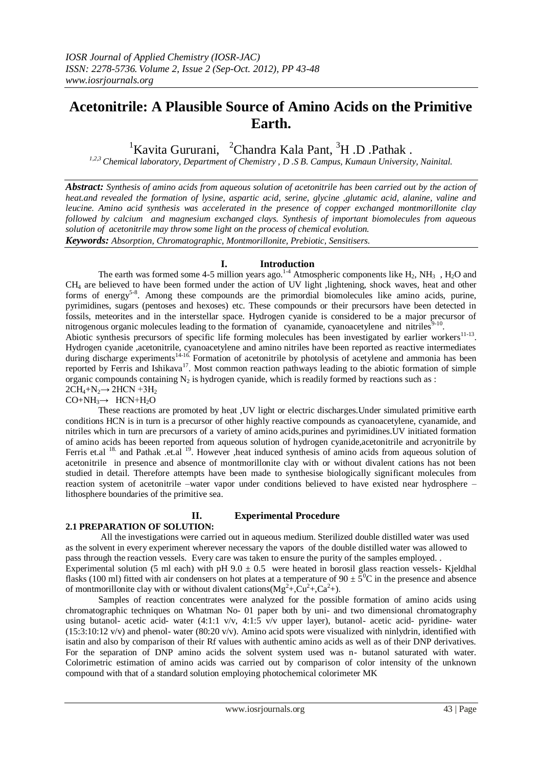# **Acetonitrile: A Plausible Source of Amino Acids on the Primitive Earth.**

<sup>1</sup>Kavita Gururani, <sup>2</sup>Chandra Kala Pant, <sup>3</sup>H .D .Pathak.

*1,2,3 Chemical laboratory, Department of Chemistry , D .S B. Campus, Kumaun University, Nainital.*

*Abstract: Synthesis of amino acids from aqueous solution of acetonitrile has been carried out by the action of heat.and revealed the formation of lysine, aspartic acid, serine, glycine ,glutamic acid, alanine, valine and leucine. Amino acid synthesis was accelerated in the presence of copper exchanged montmorillonite clay followed by calcium and magnesium exchanged clays. Synthesis of important biomolecules from aqueous solution of acetonitrile may throw some light on the process of chemical evolution. Keywords: Absorption, Chromatographic, Montmorillonite, Prebiotic, Sensitisers.*

# **I. Introduction**

The earth was formed some 4-5 million years ago.<sup>1-4</sup> Atmospheric components like  $H_2$ , NH<sub>3</sub>, H<sub>2</sub>O and CH<sup>4</sup> are believed to have been formed under the action of UV light ,lightening, shock waves, heat and other forms of energy<sup>5-8</sup>. Among these compounds are the primordial biomolecules like amino acids, purine, pyrimidines, sugars (pentoses and hexoses) etc. These compounds or their precursors have been detected in fossils, meteorites and in the interstellar space. Hydrogen cyanide is considered to be a major precursor of nitrogenous organic molecules leading to the formation of cyanamide, cyanoacetylene and nitriles $9-10$ . Abiotic synthesis precursors of specific life forming molecules has been investigated by earlier workers<sup>11-13</sup>. Hydrogen cyanide ,acetonitrile, cyanoacetylene and amino nitriles have been reported as reactive intermediates during discharge experiments<sup>14-16</sup>. Formation of acetonitrile by photolysis of acetylene and ammonia has been reported by Ferris and Ishikava<sup>17</sup>. Most common reaction pathways leading to the abiotic formation of simple organic compounds containing  $N_2$  is hydrogen cyanide, which is readily formed by reactions such as :  $2CH_4 + N_2 \rightarrow 2HCN + 3H_2$ 

 $CO+NH_3\rightarrow HCN+H_2O$ 

These reactions are promoted by heat ,UV light or electric discharges.Under simulated primitive earth conditions HCN is in turn is a precursor of other highly reactive compounds as cyanoacetylene, cyanamide, and nitriles which in turn are precursors of a variety of amino acids,purines and pyrimidines.UV initiated formation of amino acids has beeen reported from aqueous solution of hydrogen cyanide,acetonitrile and acryonitrile by Ferris et.al <sup>18.</sup> and Pathak .et.al <sup>19</sup>. However ,heat induced synthesis of amino acids from aqueous solution of acetonitrile in presence and absence of montmorillonite clay with or without divalent cations has not been studied in detail. Therefore attempts have been made to synthesise biologically significant molecules from reaction system of acetonitrile –water vapor under conditions believed to have existed near hydrosphere – lithosphere boundaries of the primitive sea.

# **II. Experimental Procedure**

# **2.1 PREPARATION OF SOLUTION:**

All the investigations were carried out in aqueous medium. Sterilized double distilled water was used as the solvent in every experiment wherever necessary the vapors of the double distilled water was allowed to pass through the reaction vessels. Every care was taken to ensure the purity of the samples employed. . Experimental solution (5 ml each) with pH  $9.0 \pm 0.5$  were heated in borosil glass reaction vessels- Kjeldhal flasks (100 ml) fitted with air condensers on hot plates at a temperature of  $90 \pm 5^0$ C in the presence and absence

of montmorillonite clay with or without divalent cations  $(Mg^2 +, Cu^2 +, Ca^2 +)$ . Samples of reaction concentrates were analyzed for the possible formation of amino acids using chromatographic techniques on Whatman No- 01 paper both by uni- and two dimensional chromatography using butanol- acetic acid- water (4:1:1 v/v, 4:1:5 v/v upper layer), butanol- acetic acid- pyridine- water  $(15:3:10:12 \text{ v/v})$  and phenol- water  $(80:20 \text{ v/v})$ . Amino acid spots were visualized with ninlydrin, identified with isatin and also by comparison of their Rf values with authentic amino acids as well as of their DNP derivatives. For the separation of DNP amino acids the solvent system used was n- butanol saturated with water. Colorimetric estimation of amino acids was carried out by comparison of color intensity of the unknown compound with that of a standard solution employing photochemical colorimeter MK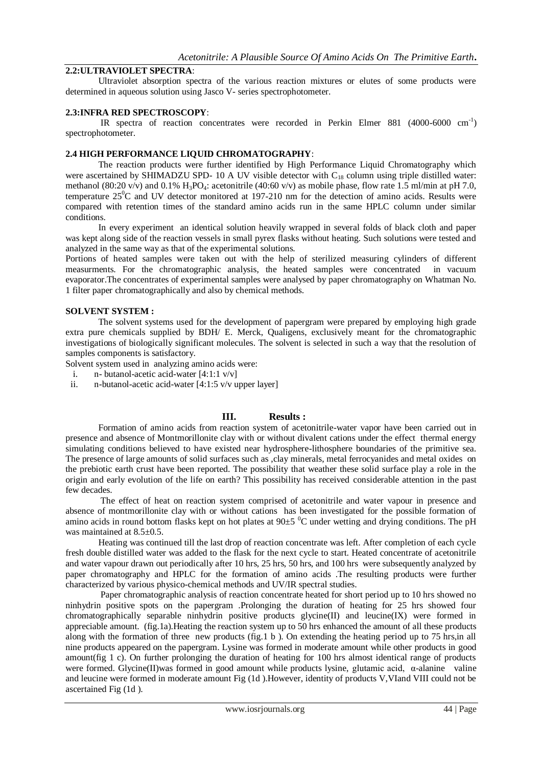# **2.2:ULTRAVIOLET SPECTRA**:

Ultraviolet absorption spectra of the various reaction mixtures or elutes of some products were determined in aqueous solution using Jasco V- series spectrophotometer.

#### **2.3:INFRA RED SPECTROSCOPY**:

IR spectra of reaction concentrates were recorded in Perkin Elmer 881 (4000-6000 cm<sup>-1</sup>) spectrophotometer.

## **2.4 HIGH PERFORMANCE LIQUID CHROMATOGRAPHY**:

The reaction products were further identified by High Performance Liquid Chromatography which were ascertained by SHIMADZU SPD- 10 A UV visible detector with C<sub>18</sub> column using triple distilled water: methanol (80:20 v/v) and 0.1% H<sub>3</sub>PO<sub>4</sub>: acetonitrile (40:60 v/v) as mobile phase, flow rate 1.5 ml/min at pH 7.0, temperature 25<sup>o</sup>C and UV detector monitored at 197-210 nm for the detection of amino acids. Results were compared with retention times of the standard amino acids run in the same HPLC column under similar conditions.

In every experiment an identical solution heavily wrapped in several folds of black cloth and paper was kept along side of the reaction vessels in small pyrex flasks without heating. Such solutions were tested and analyzed in the same way as that of the experimental solutions.

Portions of heated samples were taken out with the help of sterilized measuring cylinders of different measurments. For the chromatographic analysis, the heated samples were concentrated in vacuum evaporator.The concentrates of experimental samples were analysed by paper chromatography on Whatman No. 1 filter paper chromatographically and also by chemical methods.

#### **SOLVENT SYSTEM :**

The solvent systems used for the development of papergram were prepared by employing high grade extra pure chemicals supplied by BDH/ E. Merck, Qualigens, exclusively meant for the chromatographic investigations of biologically significant molecules. The solvent is selected in such a way that the resolution of samples components is satisfactory.

Solvent system used in analyzing amino acids were:

- i. n- butanol-acetic acid-water  $[4:1:1 \text{ v/v}]$
- ii. n-butanol-acetic acid-water [4:1:5 v/v upper layer]

#### **III. Results :**

Formation of amino acids from reaction system of acetonitrile-water vapor have been carried out in presence and absence of Montmorillonite clay with or without divalent cations under the effect thermal energy simulating conditions believed to have existed near hydrosphere-lithosphere boundaries of the primitive sea. The presence of large amounts of solid surfaces such as ,clay minerals, metal ferrocyanides and metal oxides on the prebiotic earth crust have been reported. The possibility that weather these solid surface play a role in the origin and early evolution of the life on earth? This possibility has received considerable attention in the past few decades.

The effect of heat on reaction system comprised of acetonitrile and water vapour in presence and absence of montmorillonite clay with or without cations has been investigated for the possible formation of amino acids in round bottom flasks kept on hot plates at  $90\pm5\,^{\circ}\text{C}$  under wetting and drying conditions. The pH was maintained at 8.5 $\pm$ 0.5.

Heating was continued till the last drop of reaction concentrate was left. After completion of each cycle fresh double distilled water was added to the flask for the next cycle to start. Heated concentrate of acetonitrile and water vapour drawn out periodically after 10 hrs, 25 hrs, 50 hrs, and 100 hrs were subsequently analyzed by paper chromatography and HPLC for the formation of amino acids .The resulting products were further characterized by various physico-chemical methods and UV/IR spectral studies.

Paper chromatographic analysis of reaction concentrate heated for short period up to 10 hrs showed no ninhydrin positive spots on the papergram .Prolonging the duration of heating for 25 hrs showed four chromatographically separable ninhydrin positive products glycine(II) and leucine(IX) were formed in appreciable amount. (fig.1a).Heating the reaction system up to 50 hrs enhanced the amount of all these products along with the formation of three new products (fig.1 b ). On extending the heating period up to 75 hrs,in all nine products appeared on the papergram. Lysine was formed in moderate amount while other products in good amount(fig 1 c). On further prolonging the duration of heating for 100 hrs almost identical range of products were formed. Glycine(II)was formed in good amount while products lysine, glutamic acid, α-alanine valine and leucine were formed in moderate amount Fig (1d ).However, identity of products V,VIand VIII could not be ascertained Fig (1d ).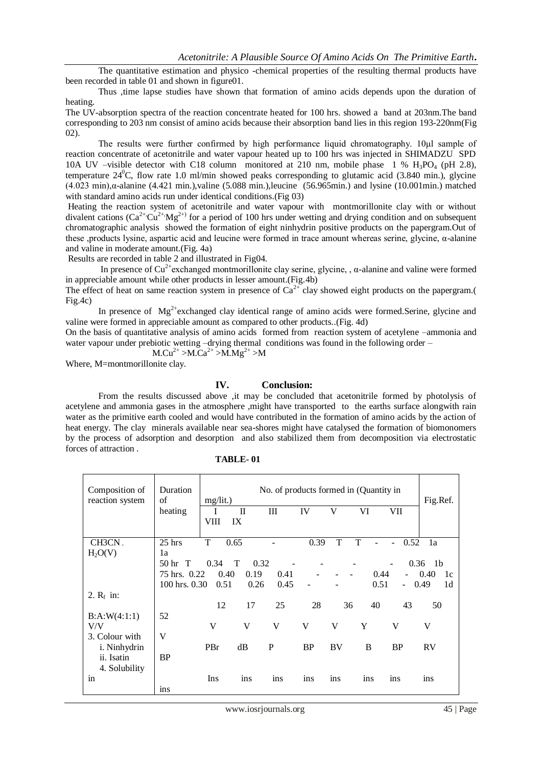The quantitative estimation and physico -chemical properties of the resulting thermal products have been recorded in table 01 and shown in figure01.

Thus ,time lapse studies have shown that formation of amino acids depends upon the duration of heating.

The UV-absorption spectra of the reaction concentrate heated for 100 hrs. showed a band at 203nm.The band corresponding to 203 nm consist of amino acids because their absorption band lies in this region 193-220nm(Fig 02).

The results were further confirmed by high performance liquid chromatography. 10μl sample of reaction concentrate of acetonitrile and water vapour heated up to 100 hrs was injected in SHIMADZU SPD 10A UV –visible detector with C18 column monitored at 210 nm, mobile phase 1 %  $H_3PQ_4$  (pH 2.8), temperature  $24^{\circ}$ C, flow rate 1.0 ml/min showed peaks corresponding to glutamic acid (3.840 min.), glycine (4.023 min),α-alanine (4.421 min.),valine (5.088 min.),leucine (56.965min.) and lysine (10.001min.) matched with standard amino acids run under identical conditions.(Fig 03)

Heating the reaction system of acetonitrile and water vapour with montmorillonite clay with or without divalent cations  $(Ca^{2+}Cu^{2+}Mg^{2+})$  for a period of 100 hrs under wetting and drying condition and on subsequent chromatographic analysis showed the formation of eight ninhydrin positive products on the papergram.Out of these ,products lysine, aspartic acid and leucine were formed in trace amount whereas serine, glycine, α-alanine and valine in moderate amount.(Fig. 4a)

Results are recorded in table 2 and illustrated in Fig04.

In presence of  $Cu^{2+}$ exchanged montmorillonite clay serine, glycine, ,  $\alpha$ -alanine and valine were formed in appreciable amount while other products in lesser amount.(Fig.4b)

The effect of heat on same reaction system in presence of  $Ca^{2+}$  clay showed eight products on the papergram. Fig.4c)

In presence of  $Mg^{2+}$ exchanged clay identical range of amino acids were formed.Serine, glycine and valine were formed in appreciable amount as compared to other products..(Fig. 4d)

On the basis of quantitative analysis of amino acids formed from reaction system of acetylene –ammonia and water vapour under prebiotic wetting –drying thermal conditions was found in the following order –

M.Cu<sup>2+</sup> >M.Ca<sup>2+</sup> >M.Mg<sup>2+</sup> >M

Where, M=montmorillonite clay.

#### **IV. Conclusion:**

From the results discussed above ,it may be concluded that acetonitrile formed by photolysis of acetylene and ammonia gases in the atmosphere ,might have transported to the earths surface alongwith rain water as the primitive earth cooled and would have contributed in the formation of amino acids by the action of heat energy. The clay minerals available near sea-shores might have catalysed the formation of biomonomers by the process of adsorption and desorption and also stabilized them from decomposition via electrostatic forces of attraction .

| Composition of<br>reaction system | Duration<br>of                                               | No. of products formed in (Quantity in<br>$mg/lit.$ ) |                    |      |           |           |      |                |                        |
|-----------------------------------|--------------------------------------------------------------|-------------------------------------------------------|--------------------|------|-----------|-----------|------|----------------|------------------------|
|                                   | heating                                                      | I<br>VIII                                             | $\mathbf{I}$<br>IX | III  | IV        | V         | VI   | VII            |                        |
|                                   |                                                              |                                                       |                    |      |           |           |      |                |                        |
| CH3CN.                            | $25$ hrs                                                     | T                                                     | 0.65               |      | 0.39      | T         | T    | 0.52           | 1a                     |
| H <sub>2</sub> O(V)               | 1a                                                           |                                                       |                    |      |           |           |      |                |                        |
|                                   | 0.32<br>0.34<br>$\top$<br>0.36<br>50 <sub>hr</sub><br>$\top$ |                                                       |                    |      |           |           |      |                |                        |
|                                   | 75 hrs. 0.22<br>0.40<br>0.19<br>0.41<br>0.44<br>÷,           |                                                       |                    |      |           |           |      |                | 0.40<br>1c             |
|                                   | $100$ hrs. $0.30$                                            | 0.51                                                  | 0.26               | 0.45 |           |           | 0.51 | $\overline{a}$ | 1 <sub>d</sub><br>0.49 |
| 2. $R_f$ in:                      |                                                              |                                                       |                    |      |           |           |      |                |                        |
|                                   |                                                              | 12                                                    | 17                 | 25   | 28        | 36        | 40   | 43             | 50                     |
| B:A:W(4:1:1)                      | 52                                                           |                                                       |                    |      |           |           |      |                |                        |
| V/V                               |                                                              | V                                                     | V                  | V    | V         | V         | Y    | V              | V                      |
| 3. Colour with                    | V                                                            |                                                       |                    |      |           |           |      |                |                        |
| i. Ninhydrin                      |                                                              | PBr                                                   | dB                 | P    | <b>BP</b> | <b>BV</b> | B    | <b>BP</b>      | <b>RV</b>              |
| ii. Isatin                        | <b>BP</b>                                                    |                                                       |                    |      |           |           |      |                |                        |
| 4. Solubility                     |                                                              |                                                       |                    |      |           |           |      |                |                        |
| in                                |                                                              | Ins                                                   | ins                | ins  | ins       | ins       | ins  | ins            | ins                    |
|                                   | ins                                                          |                                                       |                    |      |           |           |      |                |                        |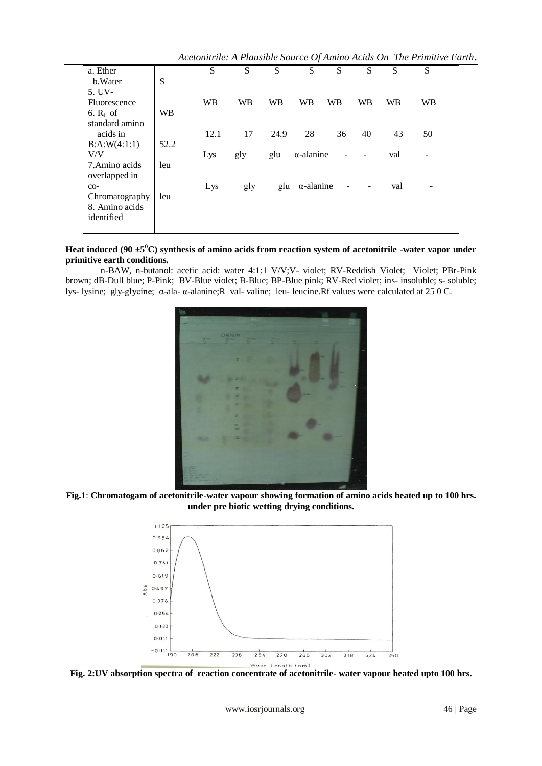*Acetonitrile: A Plausible Source Of Amino Acids On The Primitive Earth***.**

|                |           |           |     |      |                       |    |    |           | <i>Executive tien in removere bom ce</i> of finime frems on fine finime <b>B</b> ure |  |
|----------------|-----------|-----------|-----|------|-----------------------|----|----|-----------|--------------------------------------------------------------------------------------|--|
| a. Ether       |           | S         | S   | S    | S                     | S  | S  | S         | S                                                                                    |  |
| b. Water       | S         |           |     |      |                       |    |    |           |                                                                                      |  |
| 5. UV-         |           |           |     |      |                       |    |    |           |                                                                                      |  |
| Fluorescence   |           | <b>WB</b> | WB  | WB   | <b>WB</b>             | WB | WB | <b>WB</b> | <b>WB</b>                                                                            |  |
| 6. $R_f$ of    | <b>WB</b> |           |     |      |                       |    |    |           |                                                                                      |  |
| standard amino |           |           |     |      |                       |    |    |           |                                                                                      |  |
| acids in       |           | 12.1      | 17  | 24.9 | 28                    | 36 | 40 | 43        | 50                                                                                   |  |
| B:A:W(4:1:1)   | 52.2      |           |     |      |                       |    |    |           |                                                                                      |  |
| V/V            |           | Lys       | gly | glu  | $\alpha$ -alanine     |    |    | val       |                                                                                      |  |
| 7. Amino acids | leu       |           |     |      |                       |    |    |           |                                                                                      |  |
| overlapped in  |           |           |     |      |                       |    |    |           |                                                                                      |  |
| $CO-$          |           | Lys       | gly |      | glu $\alpha$ -alanine |    |    | val       |                                                                                      |  |
| Chromatography | leu       |           |     |      |                       |    |    |           |                                                                                      |  |
| 8. Amino acids |           |           |     |      |                       |    |    |           |                                                                                      |  |
| identified     |           |           |     |      |                       |    |    |           |                                                                                      |  |
|                |           |           |     |      |                       |    |    |           |                                                                                      |  |

**Heat induced (90 ±5<sup>0</sup>C) synthesis of amino acids from reaction system of acetonitrile -water vapor under primitive earth conditions.**

n-BAW, n-butanol: acetic acid: water 4:1:1 V/V;V- violet; RV-Reddish Violet; Violet; PBr-Pink brown; dB-Dull blue; P-Pink; BV-Blue violet; B-Blue; BP-Blue pink; RV-Red violet; ins- insoluble; s- soluble; lys- lysine; gly-glycine; α-ala- α-alanine;R val- valine; leu- leucine.Rf values were calculated at 25 0 C.



**Fig.1**: **Chromatogam of acetonitrile-water vapour showing formation of amino acids heated up to 100 hrs. under pre biotic wetting drying conditions.**



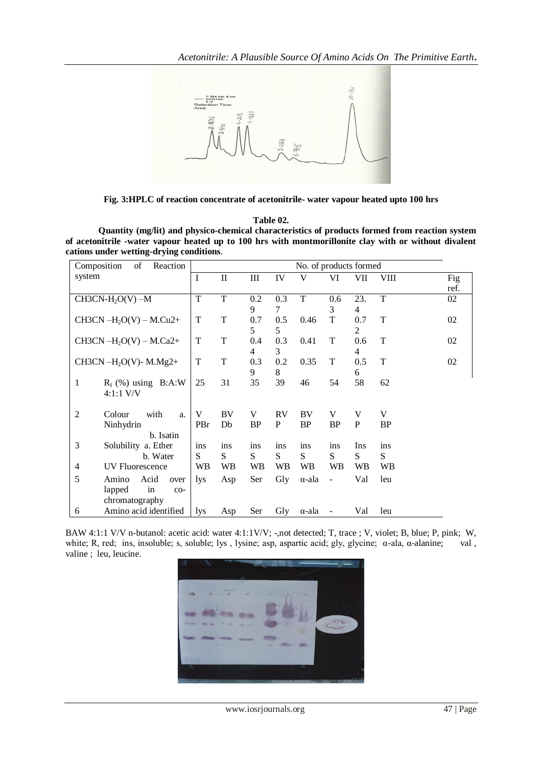

**Fig. 3:HPLC of reaction concentrate of acetonitrile- water vapour heated upto 100 hrs**

#### **Table 02.**

**Quantity (mg/lit) and physico-chemical characteristics of products formed from reaction system of acetonitrile -water vapour heated up to 100 hrs with montmorillonite clay with or without divalent cations under wetting-drying conditions**.

| Composition<br>of<br>Reaction          | No. of products formed |              |           |           |               |                |                |      |      |
|----------------------------------------|------------------------|--------------|-----------|-----------|---------------|----------------|----------------|------|------|
| system                                 | $\bf{I}$               | $\mathbf{I}$ | Ш         | IV        | V             | VI             | VII            | VIII | Fig  |
|                                        |                        |              |           |           |               |                |                |      | ref. |
| $CH3CN-H2O(V) -M$                      | T                      | T            | 0.2       | 0.3       | T             | 0.6            | 23.            | T    | 02   |
|                                        |                        |              | 9         | 7         |               | 3              | $\overline{4}$ |      |      |
| CH3CN $-H2O(V) - M.Cu2+$               | T                      | T            | 0.7       | 0.5       | 0.46          | T              | 0.7            | T    | 02   |
|                                        |                        |              | 5         | 5         |               |                | 2              |      |      |
| CH3CN $-H_2O(V) - M.Ca2+$              | T                      | T            | 0.4       | 0.3       | 0.41          | T              | 0.6            | T    | 02   |
|                                        |                        |              | 4         | 3         |               |                | 4              |      |      |
| CH3CN-H <sub>2</sub> O(V)-M.Mg2+       | T                      | T            | 0.3       | 0.2       | 0.35          | T              | 0.5            | T    | 02   |
|                                        |                        |              | 9         | 8         |               |                | 6              |      |      |
| 1<br>$R_f$ (%) using $B:A:W$           | 25                     | 31           | 35        | 39        | 46            | 54             | 58             | 62   |      |
| $4:1:1$ V/V                            |                        |              |           |           |               |                |                |      |      |
|                                        |                        |              |           |           |               |                |                |      |      |
| $\overline{2}$<br>Colour<br>with<br>a. | V                      | BV           | V         | <b>RV</b> | BV            | V              | V              | V    |      |
| Ninhydrin                              | PBr                    | Db           | <b>BP</b> | P         | <b>BP</b>     | <b>BP</b>      | P              | BP   |      |
| b. Isatin                              |                        |              |           |           |               |                |                |      |      |
| 3<br>Solubility a. Ether               | ins                    | ins          | ins       | ins       | ins           | ins            | Ins            | ins  |      |
| b. Water                               | S                      | S            | S         | S         | S             | S              | S              | S    |      |
| <b>UV Fluorescence</b><br>4            | WВ                     | WB           | <b>WB</b> | WB        | <b>WB</b>     | WB             | WB             | WB   |      |
| 5<br>Amino<br>Acid<br>over             | lys                    | Asp          | Ser       | Gly       | α-ala         | $\blacksquare$ | Val            | leu  |      |
| in<br>lapped<br>co-                    |                        |              |           |           |               |                |                |      |      |
| chromatography                         |                        |              |           |           |               |                |                |      |      |
| Amino acid identified<br>6             | lys                    | Asp          | Ser       | Gly       | $\alpha$ -ala |                | Val            | leu  |      |

BAW 4:1:1 V/V n-butanol: acetic acid: water 4:1:1 V/V; -,not detected; T, trace ; V, violet; B, blue; P, pink; W, white; R, red; ins, insoluble; s, soluble; lys, lysine; asp, aspartic acid; gly, glycine;  $\alpha$ -ala,  $\alpha$ -alanine; val, valine ; leu, leucine.